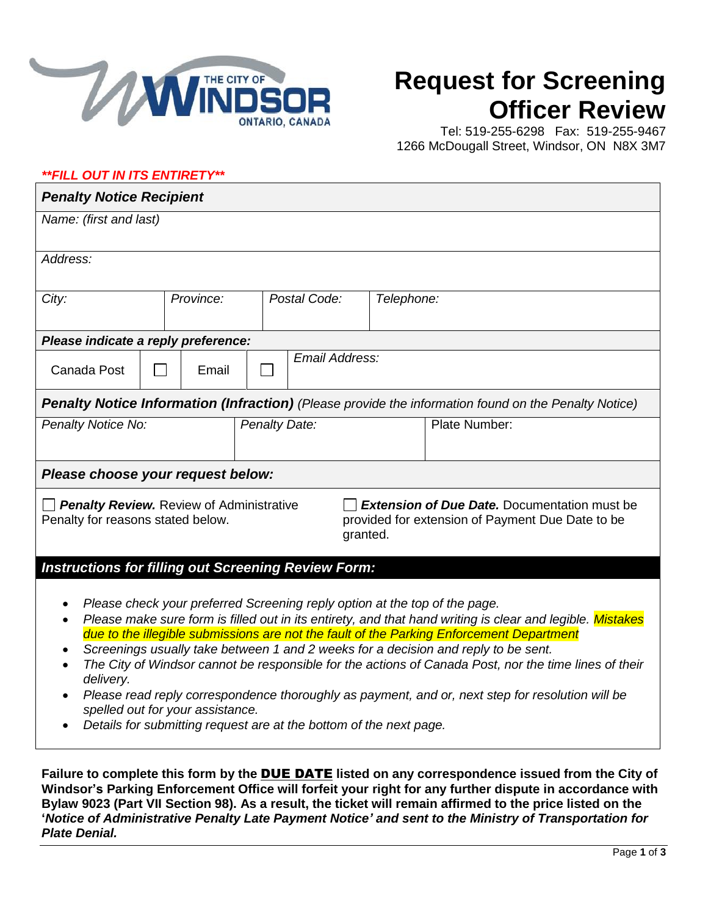

## **Request for Screening Officer Review**

 Tel: 519-255-6298 Fax: 519-255-9467 1266 McDougall Street, Windsor, ON N8X 3M7

| **FILL OUT IN ITS ENTIRETY**                                                                                                                                                                                                                                                                                                                                                                                                                                                                                                                                                                                                                                                                                                                                                   |       |           |                      |  |                |            |                                                                                                      |  |
|--------------------------------------------------------------------------------------------------------------------------------------------------------------------------------------------------------------------------------------------------------------------------------------------------------------------------------------------------------------------------------------------------------------------------------------------------------------------------------------------------------------------------------------------------------------------------------------------------------------------------------------------------------------------------------------------------------------------------------------------------------------------------------|-------|-----------|----------------------|--|----------------|------------|------------------------------------------------------------------------------------------------------|--|
| <b>Penalty Notice Recipient</b>                                                                                                                                                                                                                                                                                                                                                                                                                                                                                                                                                                                                                                                                                                                                                |       |           |                      |  |                |            |                                                                                                      |  |
| Name: (first and last)                                                                                                                                                                                                                                                                                                                                                                                                                                                                                                                                                                                                                                                                                                                                                         |       |           |                      |  |                |            |                                                                                                      |  |
| Address:                                                                                                                                                                                                                                                                                                                                                                                                                                                                                                                                                                                                                                                                                                                                                                       |       |           |                      |  |                |            |                                                                                                      |  |
| City:                                                                                                                                                                                                                                                                                                                                                                                                                                                                                                                                                                                                                                                                                                                                                                          |       | Province: |                      |  | Postal Code:   | Telephone: |                                                                                                      |  |
| Please indicate a reply preference:                                                                                                                                                                                                                                                                                                                                                                                                                                                                                                                                                                                                                                                                                                                                            |       |           |                      |  |                |            |                                                                                                      |  |
| Canada Post                                                                                                                                                                                                                                                                                                                                                                                                                                                                                                                                                                                                                                                                                                                                                                    | Email |           |                      |  | Email Address: |            |                                                                                                      |  |
|                                                                                                                                                                                                                                                                                                                                                                                                                                                                                                                                                                                                                                                                                                                                                                                |       |           |                      |  |                |            | Penalty Notice Information (Infraction) (Please provide the information found on the Penalty Notice) |  |
| Penalty Notice No:                                                                                                                                                                                                                                                                                                                                                                                                                                                                                                                                                                                                                                                                                                                                                             |       |           | <b>Penalty Date:</b> |  |                |            | Plate Number:                                                                                        |  |
| Please choose your request below:                                                                                                                                                                                                                                                                                                                                                                                                                                                                                                                                                                                                                                                                                                                                              |       |           |                      |  |                |            |                                                                                                      |  |
| <b>Extension of Due Date.</b> Documentation must be<br><b>Penalty Review.</b> Review of Administrative<br>Penalty for reasons stated below.<br>provided for extension of Payment Due Date to be<br>granted.                                                                                                                                                                                                                                                                                                                                                                                                                                                                                                                                                                    |       |           |                      |  |                |            |                                                                                                      |  |
| <b>Instructions for filling out Screening Review Form:</b>                                                                                                                                                                                                                                                                                                                                                                                                                                                                                                                                                                                                                                                                                                                     |       |           |                      |  |                |            |                                                                                                      |  |
| Please check your preferred Screening reply option at the top of the page.<br>$\bullet$<br>Please make sure form is filled out in its entirety, and that hand writing is clear and legible. Mistakes<br>$\bullet$<br>due to the illegible submissions are not the fault of the Parking Enforcement Department<br>Screenings usually take between 1 and 2 weeks for a decision and reply to be sent.<br>$\bullet$<br>The City of Windsor cannot be responsible for the actions of Canada Post, nor the time lines of their<br>$\bullet$<br>delivery.<br>Please read reply correspondence thoroughly as payment, and or, next step for resolution will be<br>$\bullet$<br>spelled out for your assistance.<br>Details for submitting request are at the bottom of the next page. |       |           |                      |  |                |            |                                                                                                      |  |

**Failure to complete this form by the** DUE DATE **listed on any correspondence issued from the City of Windsor's Parking Enforcement Office will forfeit your right for any further dispute in accordance with Bylaw 9023 (Part VII Section 98). As a result, the ticket will remain affirmed to the price listed on the '***Notice of Administrative Penalty Late Payment Notice' and sent to the Ministry of Transportation for Plate Denial.*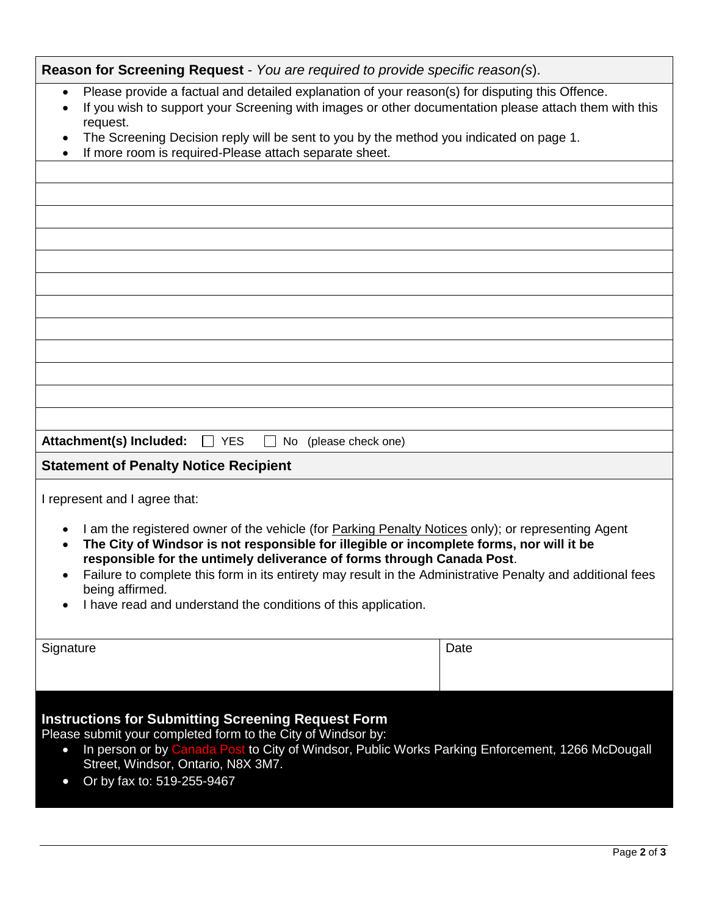| Reason for Screening Request - You are required to provide specific reason(s).                                                                                                                                                                                                                                                                                                                                                                                                                                |      |  |  |  |  |  |
|---------------------------------------------------------------------------------------------------------------------------------------------------------------------------------------------------------------------------------------------------------------------------------------------------------------------------------------------------------------------------------------------------------------------------------------------------------------------------------------------------------------|------|--|--|--|--|--|
| Please provide a factual and detailed explanation of your reason(s) for disputing this Offence.<br>$\bullet$<br>If you wish to support your Screening with images or other documentation please attach them with this<br>request.<br>The Screening Decision reply will be sent to you by the method you indicated on page 1.<br>$\bullet$<br>If more room is required-Please attach separate sheet.                                                                                                           |      |  |  |  |  |  |
|                                                                                                                                                                                                                                                                                                                                                                                                                                                                                                               |      |  |  |  |  |  |
|                                                                                                                                                                                                                                                                                                                                                                                                                                                                                                               |      |  |  |  |  |  |
|                                                                                                                                                                                                                                                                                                                                                                                                                                                                                                               |      |  |  |  |  |  |
|                                                                                                                                                                                                                                                                                                                                                                                                                                                                                                               |      |  |  |  |  |  |
|                                                                                                                                                                                                                                                                                                                                                                                                                                                                                                               |      |  |  |  |  |  |
|                                                                                                                                                                                                                                                                                                                                                                                                                                                                                                               |      |  |  |  |  |  |
|                                                                                                                                                                                                                                                                                                                                                                                                                                                                                                               |      |  |  |  |  |  |
|                                                                                                                                                                                                                                                                                                                                                                                                                                                                                                               |      |  |  |  |  |  |
|                                                                                                                                                                                                                                                                                                                                                                                                                                                                                                               |      |  |  |  |  |  |
|                                                                                                                                                                                                                                                                                                                                                                                                                                                                                                               |      |  |  |  |  |  |
|                                                                                                                                                                                                                                                                                                                                                                                                                                                                                                               |      |  |  |  |  |  |
|                                                                                                                                                                                                                                                                                                                                                                                                                                                                                                               |      |  |  |  |  |  |
| Attachment(s) Included:<br>$\Box$ YES<br>No (please check one)                                                                                                                                                                                                                                                                                                                                                                                                                                                |      |  |  |  |  |  |
| <b>Statement of Penalty Notice Recipient</b>                                                                                                                                                                                                                                                                                                                                                                                                                                                                  |      |  |  |  |  |  |
| I represent and I agree that:                                                                                                                                                                                                                                                                                                                                                                                                                                                                                 |      |  |  |  |  |  |
| I am the registered owner of the vehicle (for <b>Parking Penalty Notices only)</b> ; or representing Agent<br>$\bullet$<br>The City of Windsor is not responsible for illegible or incomplete forms, nor will it be<br>$\bullet$<br>responsible for the untimely deliverance of forms through Canada Post.<br>Failure to complete this form in its entirety may result in the Administrative Penalty and additional fees<br>being affirmed.<br>I have read and understand the conditions of this application. |      |  |  |  |  |  |
| Signature                                                                                                                                                                                                                                                                                                                                                                                                                                                                                                     | Date |  |  |  |  |  |
| <b>Instructions for Submitting Screening Request Form</b><br>Please submit your completed form to the City of Windsor by:<br>In person or by Canada Post to City of Windsor, Public Works Parking Enforcement, 1266 McDougall<br>$\bullet$<br>Street, Windsor, Ontario, N8X 3M7.<br>Or by fax to: 519-255-9467<br>$\bullet$                                                                                                                                                                                   |      |  |  |  |  |  |